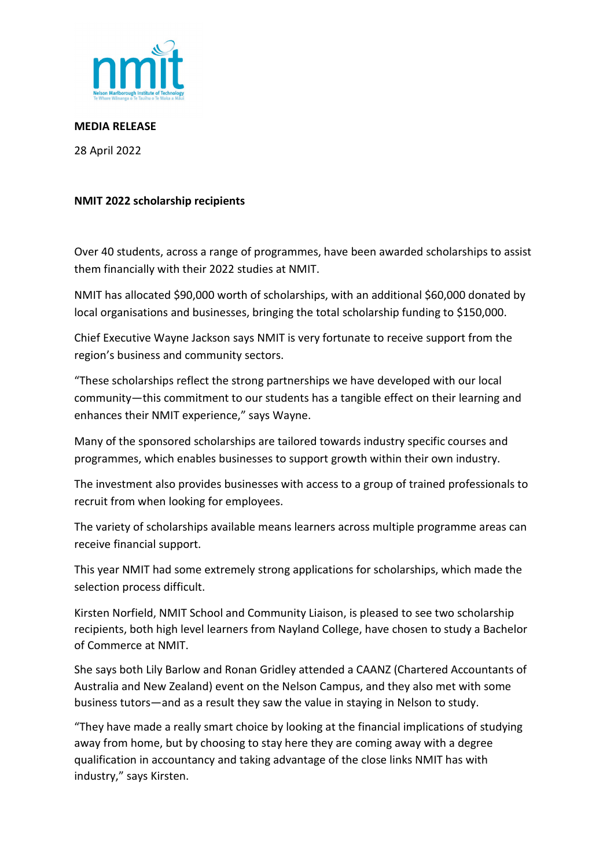

**MEDIA RELEASE**

28 April 2022

## **NMIT 2022 scholarship recipients**

Over 40 students, across a range of programmes, have been awarded scholarships to assist them financially with their 2022 studies at NMIT.

NMIT has allocated \$90,000 worth of scholarships, with an additional \$60,000 donated by local organisations and businesses, bringing the total scholarship funding to \$150,000.

Chief Executive Wayne Jackson says NMIT is very fortunate to receive support from the region's business and community sectors.

"These scholarships reflect the strong partnerships we have developed with our local community—this commitment to our students has a tangible effect on their learning and enhances their NMIT experience," says Wayne.

Many of the sponsored scholarships are tailored towards industry specific courses and programmes, which enables businesses to support growth within their own industry.

The investment also provides businesses with access to a group of trained professionals to recruit from when looking for employees.

The variety of scholarships available means learners across multiple programme areas can receive financial support.

This year NMIT had some extremely strong applications for scholarships, which made the selection process difficult.

Kirsten Norfield, NMIT School and Community Liaison, is pleased to see two scholarship recipients, both high level learners from Nayland College, have chosen to study a Bachelor of Commerce at NMIT.

She says both Lily Barlow and Ronan Gridley attended a CAANZ (Chartered Accountants of Australia and New Zealand) event on the Nelson Campus, and they also met with some business tutors—and as a result they saw the value in staying in Nelson to study.

"They have made a really smart choice by looking at the financial implications of studying away from home, but by choosing to stay here they are coming away with a degree qualification in accountancy and taking advantage of the close links NMIT has with industry," says Kirsten.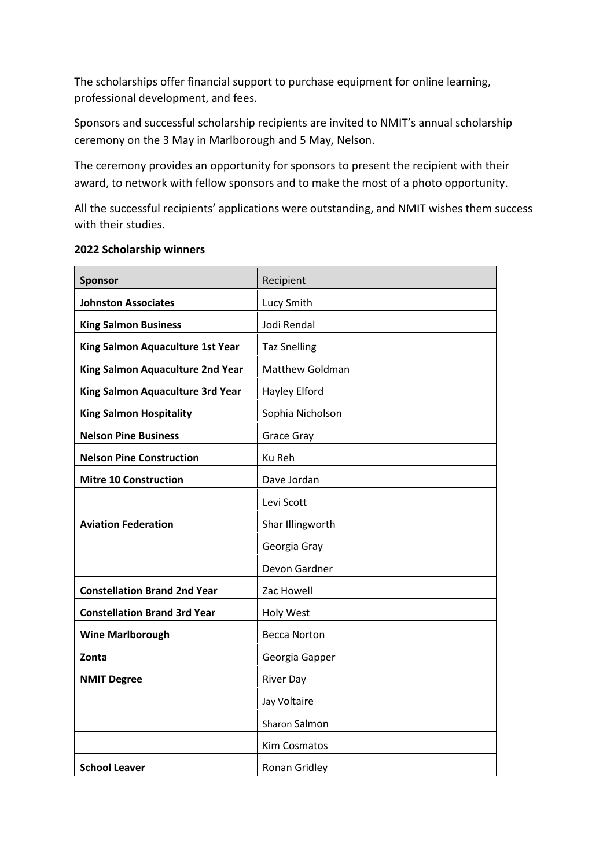The scholarships offer financial support to purchase equipment for online learning, professional development, and fees.

Sponsors and successful scholarship recipients are invited to NMIT's annual scholarship ceremony on the 3 May in Marlborough and 5 May, Nelson.

The ceremony provides an opportunity for sponsors to present the recipient with their award, to network with fellow sponsors and to make the most of a photo opportunity.

All the successful recipients' applications were outstanding, and NMIT wishes them success with their studies.

## **2022 Scholarship winners**

| <b>Sponsor</b>                      | Recipient              |
|-------------------------------------|------------------------|
| <b>Johnston Associates</b>          | Lucy Smith             |
| <b>King Salmon Business</b>         | Jodi Rendal            |
| King Salmon Aquaculture 1st Year    | <b>Taz Snelling</b>    |
| King Salmon Aquaculture 2nd Year    | <b>Matthew Goldman</b> |
| King Salmon Aquaculture 3rd Year    | Hayley Elford          |
| <b>King Salmon Hospitality</b>      | Sophia Nicholson       |
| <b>Nelson Pine Business</b>         | Grace Gray             |
| <b>Nelson Pine Construction</b>     | Ku Reh                 |
| <b>Mitre 10 Construction</b>        | Dave Jordan            |
|                                     | Levi Scott             |
| <b>Aviation Federation</b>          | Shar Illingworth       |
|                                     | Georgia Gray           |
|                                     | Devon Gardner          |
| <b>Constellation Brand 2nd Year</b> | Zac Howell             |
| <b>Constellation Brand 3rd Year</b> | <b>Holy West</b>       |
| <b>Wine Marlborough</b>             | <b>Becca Norton</b>    |
| Zonta                               | Georgia Gapper         |
| <b>NMIT Degree</b>                  | <b>River Day</b>       |
|                                     | Jay Voltaire           |
|                                     | Sharon Salmon          |
|                                     | Kim Cosmatos           |
| <b>School Leaver</b>                | Ronan Gridley          |